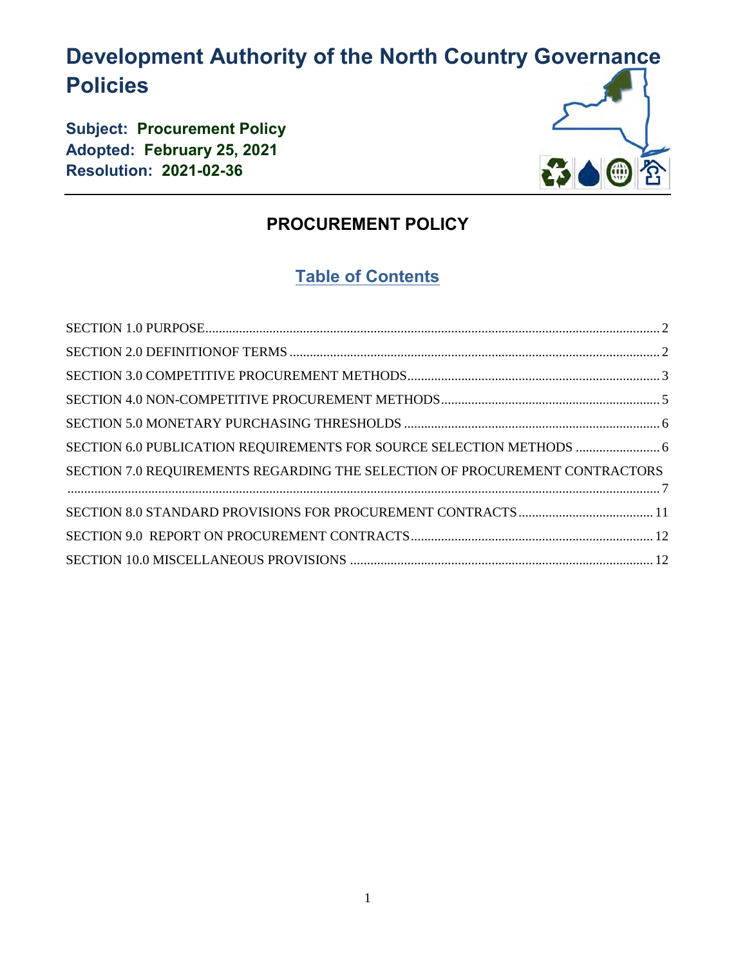# **Development Authority of the North Country Governance Policies**

**Subject: Procurement Policy Adopted: February 25, 2021 Resolution: 2021-02-36**



### **PROCUREMENT POLICY**

## **Table of Contents**

| SECTION 6.0 PUBLICATION REQUIREMENTS FOR SOURCE SELECTION METHODS  6        |  |
|-----------------------------------------------------------------------------|--|
| SECTION 7.0 REQUIREMENTS REGARDING THE SELECTION OF PROCUREMENT CONTRACTORS |  |
|                                                                             |  |
|                                                                             |  |
|                                                                             |  |
|                                                                             |  |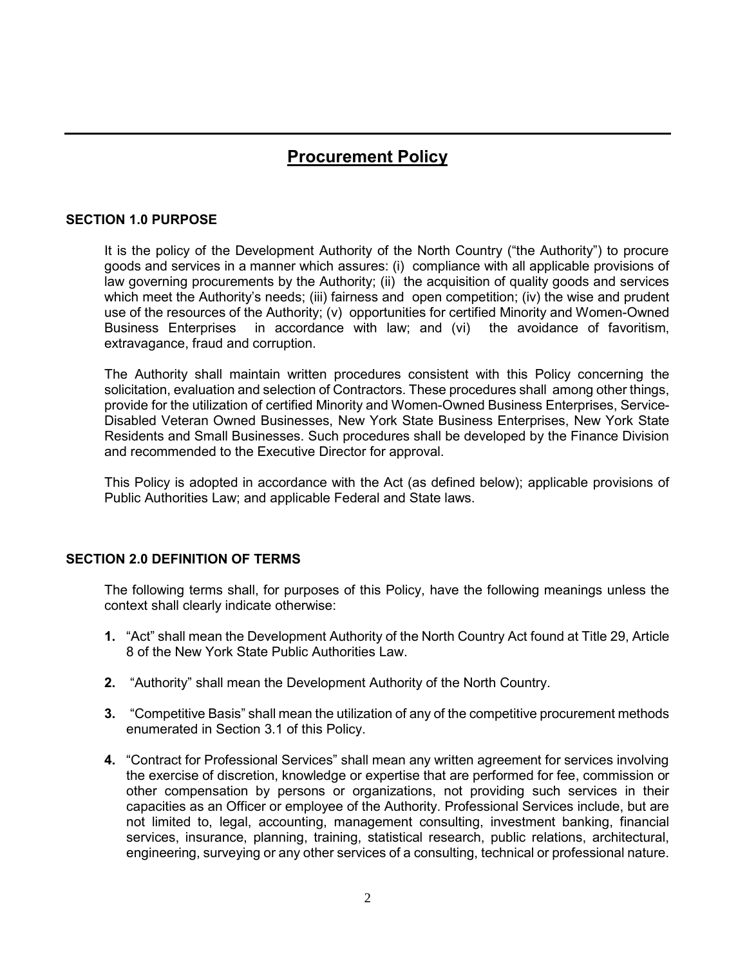### **Procurement Policy**

#### <span id="page-1-0"></span>**SECTION 1.0 PURPOSE**

It is the policy of the Development Authority of the North Country ("the Authority") to procure goods and services in a manner which assures: (i) compliance with all applicable provisions of law governing procurements by the Authority; (ii) the acquisition of quality goods and services which meet the Authority's needs; (iii) fairness and open competition; (iv) the wise and prudent use of the resources of the Authority; (v) opportunities for certified Minority and Women-Owned Business Enterprises in accordance with law; and (vi) the avoidance of favoritism, extravagance, fraud and corruption.

The Authority shall maintain written procedures consistent with this Policy concerning the solicitation, evaluation and selection of Contractors. These procedures shall among other things, provide for the utilization of certified Minority and Women-Owned Business Enterprises, Service-Disabled Veteran Owned Businesses, New York State Business Enterprises, New York State Residents and Small Businesses. Such procedures shall be developed by the Finance Division and recommended to the Executive Director for approval.

This Policy is adopted in accordance with the Act (as defined below); applicable provisions of Public Authorities Law; and applicable Federal and State laws.

#### <span id="page-1-1"></span>**SECTION 2.0 DEFINITION OF TERMS**

The following terms shall, for purposes of this Policy, have the following meanings unless the context shall clearly indicate otherwise:

- **1.** "Act" shall mean the Development Authority of the North Country Act found at Title 29, Article 8 of the New York State Public Authorities Law.
- **2.** "Authority" shall mean the Development Authority of the North Country.
- **3.** "Competitive Basis" shall mean the utilization of any of the competitive procurement methods enumerated in Section 3.1 of this Policy.
- **4.** "Contract for Professional Services" shall mean any written agreement for services involving the exercise of discretion, knowledge or expertise that are performed for fee, commission or other compensation by persons or organizations, not providing such services in their capacities as an Officer or employee of the Authority. Professional Services include, but are not limited to, legal, accounting, management consulting, investment banking, financial services, insurance, planning, training, statistical research, public relations, architectural, engineering, surveying or any other services of a consulting, technical or professional nature.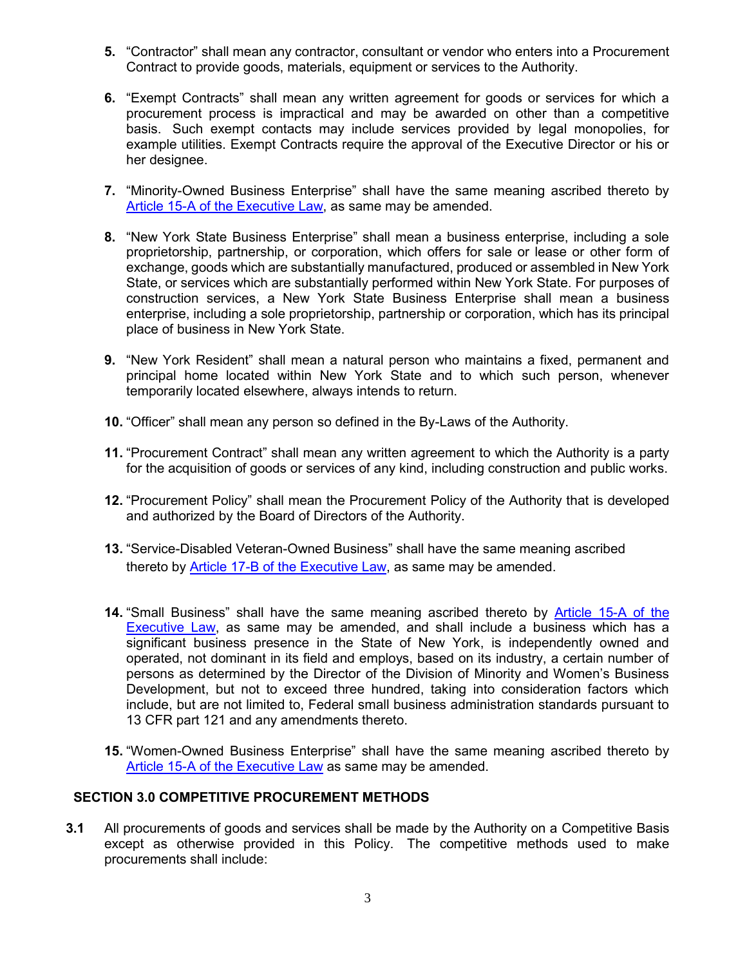- **5.** "Contractor" shall mean any contractor, consultant or vendor who enters into a Procurement Contract to provide goods, materials, equipment or services to the Authority.
- **6.** "Exempt Contracts" shall mean any written agreement for goods or services for which a procurement process is impractical and may be awarded on other than a competitive basis. Such exempt contacts may include services provided by legal monopolies, for example utilities. Exempt Contracts require the approval of the Executive Director or his or her designee.
- **7.** "Minority-Owned Business Enterprise" shall have the same meaning ascribed thereto by [Article 15-A of the Executive Law,](file://///admin-fs/Share/Procurement%20Committee/Procurement%20Policy%20Revisions/NYS%20Guidelines%20&%20%20Regs/ARTICLE%2015%20%20WMBE%20Respect%20to%20State%20Contracts.pdf) as same may be amended.
- **8.** "New York State Business Enterprise" shall mean a business enterprise, including a sole proprietorship, partnership, or corporation, which offers for sale or lease or other form of exchange, goods which are substantially manufactured, produced or assembled in New York State, or services which are substantially performed within New York State. For purposes of construction services, a New York State Business Enterprise shall mean a business enterprise, including a sole proprietorship, partnership or corporation, which has its principal place of business in New York State.
- **9.** "New York Resident" shall mean a natural person who maintains a fixed, permanent and principal home located within New York State and to which such person, whenever temporarily located elsewhere, always intends to return.
- **10.** "Officer" shall mean any person so defined in the By-Laws of the Authority.
- **11.** "Procurement Contract" shall mean any written agreement to which the Authority is a party for the acquisition of goods or services of any kind, including construction and public works.
- **12.** "Procurement Policy" shall mean the Procurement Policy of the Authority that is developed and authorized by the Board of Directors of the Authority.
- **13.** "Service-Disabled Veteran-Owned Business" shall have the same meaning ascribed thereto by Article 17-B of the Executive Law, as same may be amended.
- **14.** "Small Business" shall have the same meaning ascribed thereto by [Article 15-A of the](file://///admin-fs/Share/Procurement%20Committee/Procurement%20Policy%20Revisions/NYS%20Guidelines%20&%20%20Regs/ARTICLE%2015%20%20WMBE%20Respect%20to%20State%20Contracts.pdf)  [Executive Law,](file://///admin-fs/Share/Procurement%20Committee/Procurement%20Policy%20Revisions/NYS%20Guidelines%20&%20%20Regs/ARTICLE%2015%20%20WMBE%20Respect%20to%20State%20Contracts.pdf) as same may be amended, and shall include a business which has a significant business presence in the State of New York, is independently owned and operated, not dominant in its field and employs, based on its industry, a certain number of persons as determined by the Director of the Division of Minority and Women's Business Development, but not to exceed three hundred, taking into consideration factors which include, but are not limited to, Federal small business administration standards pursuant to 13 CFR part 121 and any amendments thereto.
- **15.** "Women-Owned Business Enterprise" shall have the same meaning ascribed thereto by [Article 15-A of the Executive Law](file://///admin-fs/Share/Procurement%20Committee/Procurement%20Policy%20Revisions/NYS%20Guidelines%20&%20%20Regs/ARTICLE%2015%20%20WMBE%20Respect%20to%20State%20Contracts.pdf) as same may be amended.

#### <span id="page-2-0"></span> **SECTION 3.0 COMPETITIVE PROCUREMENT METHODS**

**3.1** All procurements of goods and services shall be made by the Authority on a Competitive Basis except as otherwise provided in this Policy. The competitive methods used to make procurements shall include: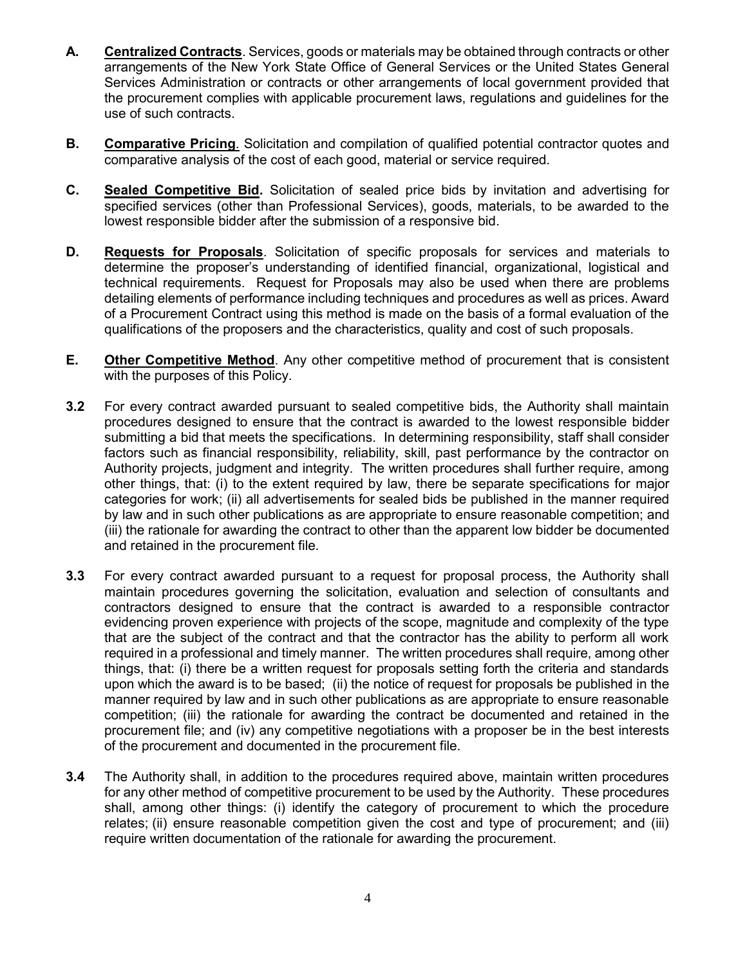- **A. Centralized Contracts**. Services, goods or materials may be obtained through contracts or other arrangements of the New York State Office of General Services or the United States General Services Administration or contracts or other arrangements of local government provided that the procurement complies with applicable procurement laws, regulations and guidelines for the use of such contracts.
- **B.** Comparative Pricing. Solicitation and compilation of qualified potential contractor quotes and comparative analysis of the cost of each good, material or service required.
- **C. Sealed Competitive Bid.** Solicitation of sealed price bids by invitation and advertising for specified services (other than Professional Services), goods, materials, to be awarded to the lowest responsible bidder after the submission of a responsive bid.
- **D. Requests for Proposals**. Solicitation of specific proposals for services and materials to determine the proposer's understanding of identified financial, organizational, logistical and technical requirements. Request for Proposals may also be used when there are problems detailing elements of performance including techniques and procedures as well as prices. Award of a Procurement Contract using this method is made on the basis of a formal evaluation of the qualifications of the proposers and the characteristics, quality and cost of such proposals.
- **E. Other Competitive Method**. Any other competitive method of procurement that is consistent with the purposes of this Policy.
- **3.2** For every contract awarded pursuant to sealed competitive bids, the Authority shall maintain procedures designed to ensure that the contract is awarded to the lowest responsible bidder submitting a bid that meets the specifications. In determining responsibility, staff shall consider factors such as financial responsibility, reliability, skill, past performance by the contractor on Authority projects, judgment and integrity. The written procedures shall further require, among other things, that: (i) to the extent required by law, there be separate specifications for major categories for work; (ii) all advertisements for sealed bids be published in the manner required by law and in such other publications as are appropriate to ensure reasonable competition; and (iii) the rationale for awarding the contract to other than the apparent low bidder be documented and retained in the procurement file.
- **3.3** For every contract awarded pursuant to a request for proposal process, the Authority shall maintain procedures governing the solicitation, evaluation and selection of consultants and contractors designed to ensure that the contract is awarded to a responsible contractor evidencing proven experience with projects of the scope, magnitude and complexity of the type that are the subject of the contract and that the contractor has the ability to perform all work required in a professional and timely manner. The written procedures shall require, among other things, that: (i) there be a written request for proposals setting forth the criteria and standards upon which the award is to be based; (ii) the notice of request for proposals be published in the manner required by law and in such other publications as are appropriate to ensure reasonable competition; (iii) the rationale for awarding the contract be documented and retained in the procurement file; and (iv) any competitive negotiations with a proposer be in the best interests of the procurement and documented in the procurement file.
- **3.4** The Authority shall, in addition to the procedures required above, maintain written procedures for any other method of competitive procurement to be used by the Authority. These procedures shall, among other things: (i) identify the category of procurement to which the procedure relates; (ii) ensure reasonable competition given the cost and type of procurement; and (iii) require written documentation of the rationale for awarding the procurement.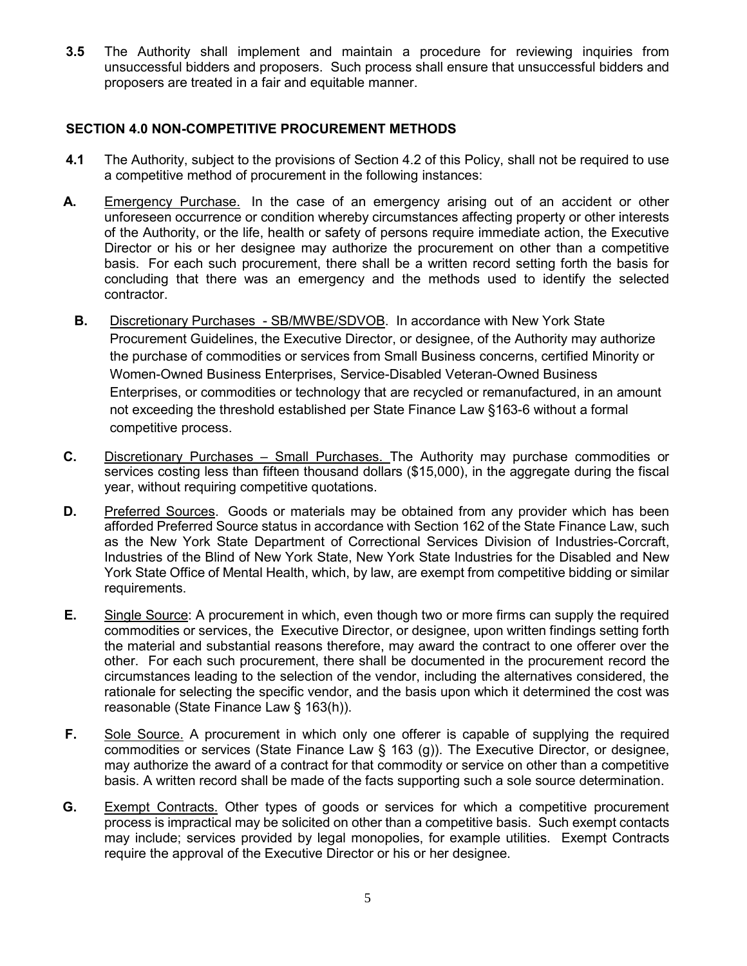**3.5** The Authority shall implement and maintain a procedure for reviewing inquiries from unsuccessful bidders and proposers. Such process shall ensure that unsuccessful bidders and proposers are treated in a fair and equitable manner.

#### <span id="page-4-0"></span>**SECTION 4.0 NON-COMPETITIVE PROCUREMENT METHODS**

- **4.1** The Authority, subject to the provisions of Section 4.2 of this Policy, shall not be required to use a competitive method of procurement in the following instances:
- **A.** Emergency Purchase. In the case of an emergency arising out of an accident or other unforeseen occurrence or condition whereby circumstances affecting property or other interests of the Authority, or the life, health or safety of persons require immediate action, the Executive Director or his or her designee may authorize the procurement on other than a competitive basis. For each such procurement, there shall be a written record setting forth the basis for concluding that there was an emergency and the methods used to identify the selected contractor.
	- **B.** Discretionary Purchases SB/MWBE/SDVOB. In accordance with New York State Procurement Guidelines, the Executive Director, or designee, of the Authority may authorize the purchase of commodities or services from Small Business concerns, certified Minority or Women-Owned Business Enterprises, Service-Disabled Veteran-Owned Business Enterprises, or commodities or technology that are recycled or remanufactured, in an amount not exceeding the threshold established per State Finance Law §163-6 without a formal competitive process.
- **C.** Discretionary Purchases Small Purchases. The Authority may purchase commodities or services costing less than fifteen thousand dollars (\$15,000), in the aggregate during the fiscal year, without requiring competitive quotations.
- **D.** Preferred Sources. Goods or materials may be obtained from any provider which has been afforded Preferred Source status in accordance with Section 162 of the State Finance Law, such as the New York State Department of Correctional Services Division of Industries-Corcraft, Industries of the Blind of New York State, New York State Industries for the Disabled and New York State Office of Mental Health, which, by law, are exempt from competitive bidding or similar requirements.
- **E.** Single Source: A procurement in which, even though two or more firms can supply the required commodities or services, the Executive Director, or designee, upon written findings setting forth the material and substantial reasons therefore, may award the contract to one offerer over the other. For each such procurement, there shall be documented in the procurement record the circumstances leading to the selection of the vendor, including the alternatives considered, the rationale for selecting the specific vendor, and the basis upon which it determined the cost was reasonable (State Finance Law § 163(h)).
- **F.** Sole Source. A procurement in which only one offerer is capable of supplying the required commodities or services (State Finance Law § 163 (g)). The Executive Director, or designee, may authorize the award of a contract for that commodity or service on other than a competitive basis. A written record shall be made of the facts supporting such a sole source determination.
- **G.** Exempt Contracts. Other types of goods or services for which a competitive procurement process is impractical may be solicited on other than a competitive basis. Such exempt contacts may include; services provided by legal monopolies, for example utilities. Exempt Contracts require the approval of the Executive Director or his or her designee.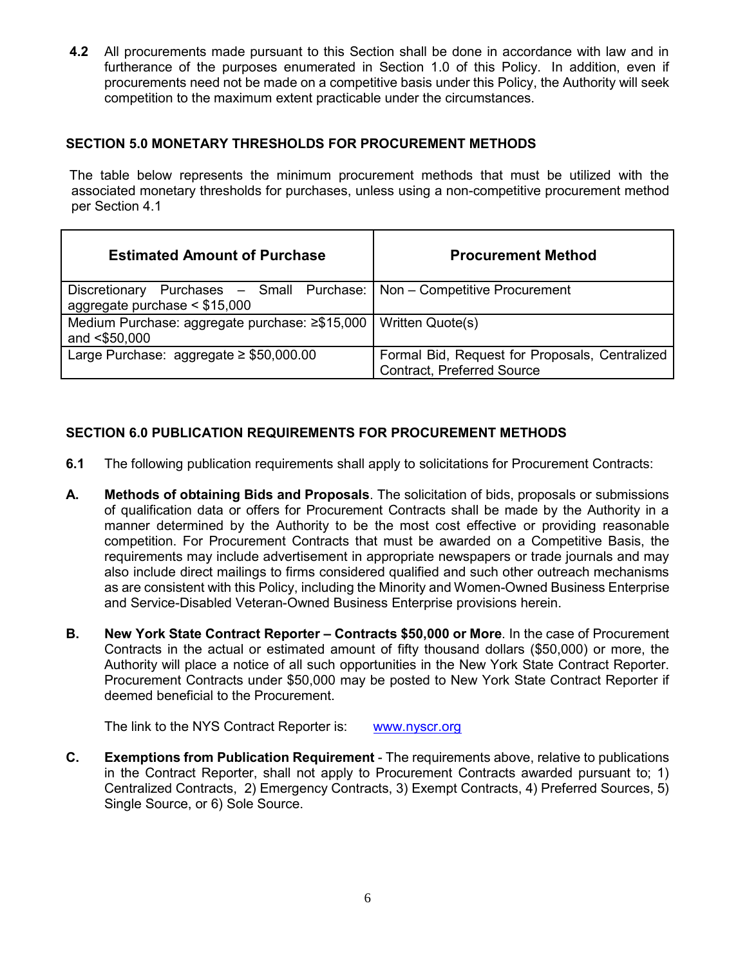**4.2** All procurements made pursuant to this Section shall be done in accordance with law and in furtherance of the purposes enumerated in Section 1.0 of this Policy. In addition, even if procurements need not be made on a competitive basis under this Policy, the Authority will seek competition to the maximum extent practicable under the circumstances.

#### <span id="page-5-0"></span>**SECTION 5.0 MONETARY THRESHOLDS FOR PROCUREMENT METHODS**

The table below represents the minimum procurement methods that must be utilized with the associated monetary thresholds for purchases, unless using a non-competitive procurement method per Section 4.1

| <b>Estimated Amount of Purchase</b>                                                                          | <b>Procurement Method</b>                                                           |
|--------------------------------------------------------------------------------------------------------------|-------------------------------------------------------------------------------------|
| Discretionary Purchases - Small Purchase:   Non - Competitive Procurement<br>aggregate purchase $<$ \$15,000 |                                                                                     |
| Medium Purchase: aggregate purchase: ≥\$15,000   Written Quote(s)<br>and <\$50,000                           |                                                                                     |
| Large Purchase: aggregate $\geq$ \$50,000.00                                                                 | Formal Bid, Request for Proposals, Centralized<br><b>Contract, Preferred Source</b> |

#### <span id="page-5-1"></span>**SECTION 6.0 PUBLICATION REQUIREMENTS FOR PROCUREMENT METHODS**

- **6.1** The following publication requirements shall apply to solicitations for Procurement Contracts:
- **A. Methods of obtaining Bids and Proposals**. The solicitation of bids, proposals or submissions of qualification data or offers for Procurement Contracts shall be made by the Authority in a manner determined by the Authority to be the most cost effective or providing reasonable competition. For Procurement Contracts that must be awarded on a Competitive Basis, the requirements may include advertisement in appropriate newspapers or trade journals and may also include direct mailings to firms considered qualified and such other outreach mechanisms as are consistent with this Policy, including the Minority and Women-Owned Business Enterprise and Service-Disabled Veteran-Owned Business Enterprise provisions herein.
- **B. New York State Contract Reporter – Contracts \$50,000 or More**. In the case of Procurement Contracts in the actual or estimated amount of fifty thousand dollars (\$50,000) or more, the Authority will place a notice of all such opportunities in the New York State Contract Reporter. Procurement Contracts under \$50,000 may be posted to New York State Contract Reporter if deemed beneficial to the Procurement.

The link to the NYS Contract Reporter is: [www.nyscr.org](http://www.nyscr.org/)

**C. Exemptions from Publication Requirement** - The requirements above, relative to publications in the Contract Reporter, shall not apply to Procurement Contracts awarded pursuant to; 1) Centralized Contracts, 2) Emergency Contracts, 3) Exempt Contracts, 4) Preferred Sources, 5) Single Source, or 6) Sole Source.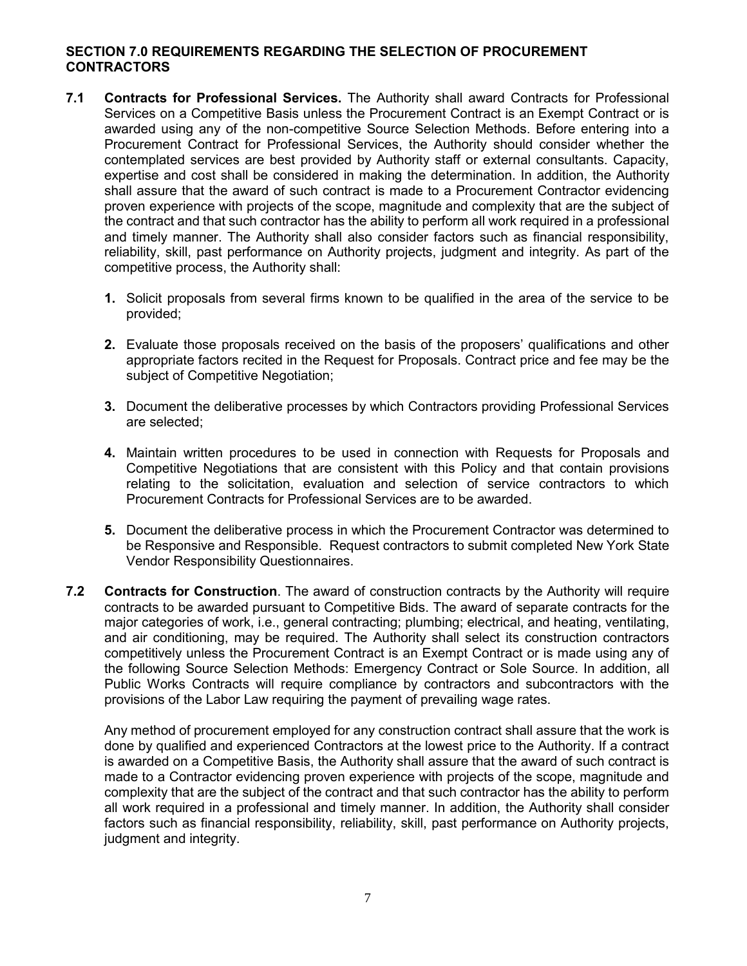#### <span id="page-6-0"></span>**SECTION 7.0 REQUIREMENTS REGARDING THE SELECTION OF PROCUREMENT CONTRACTORS**

- **7.1 Contracts for Professional Services.** The Authority shall award Contracts for Professional Services on a Competitive Basis unless the Procurement Contract is an Exempt Contract or is awarded using any of the non-competitive Source Selection Methods. Before entering into a Procurement Contract for Professional Services, the Authority should consider whether the contemplated services are best provided by Authority staff or external consultants. Capacity, expertise and cost shall be considered in making the determination. In addition, the Authority shall assure that the award of such contract is made to a Procurement Contractor evidencing proven experience with projects of the scope, magnitude and complexity that are the subject of the contract and that such contractor has the ability to perform all work required in a professional and timely manner. The Authority shall also consider factors such as financial responsibility, reliability, skill, past performance on Authority projects, judgment and integrity. As part of the competitive process, the Authority shall:
	- **1.** Solicit proposals from several firms known to be qualified in the area of the service to be provided;
	- **2.** Evaluate those proposals received on the basis of the proposers' qualifications and other appropriate factors recited in the Request for Proposals. Contract price and fee may be the subject of Competitive Negotiation;
	- **3.** Document the deliberative processes by which Contractors providing Professional Services are selected;
	- **4.** Maintain written procedures to be used in connection with Requests for Proposals and Competitive Negotiations that are consistent with this Policy and that contain provisions relating to the solicitation, evaluation and selection of service contractors to which Procurement Contracts for Professional Services are to be awarded.
	- **5.** Document the deliberative process in which the Procurement Contractor was determined to be Responsive and Responsible. Request contractors to submit completed New York State Vendor Responsibility Questionnaires.
- **7.2 Contracts for Construction**. The award of construction contracts by the Authority will require contracts to be awarded pursuant to Competitive Bids. The award of separate contracts for the major categories of work, i.e., general contracting; plumbing; electrical, and heating, ventilating, and air conditioning, may be required. The Authority shall select its construction contractors competitively unless the Procurement Contract is an Exempt Contract or is made using any of the following Source Selection Methods: Emergency Contract or Sole Source. In addition, all Public Works Contracts will require compliance by contractors and subcontractors with the provisions of the Labor Law requiring the payment of prevailing wage rates.

Any method of procurement employed for any construction contract shall assure that the work is done by qualified and experienced Contractors at the lowest price to the Authority. If a contract is awarded on a Competitive Basis, the Authority shall assure that the award of such contract is made to a Contractor evidencing proven experience with projects of the scope, magnitude and complexity that are the subject of the contract and that such contractor has the ability to perform all work required in a professional and timely manner. In addition, the Authority shall consider factors such as financial responsibility, reliability, skill, past performance on Authority projects, judgment and integrity.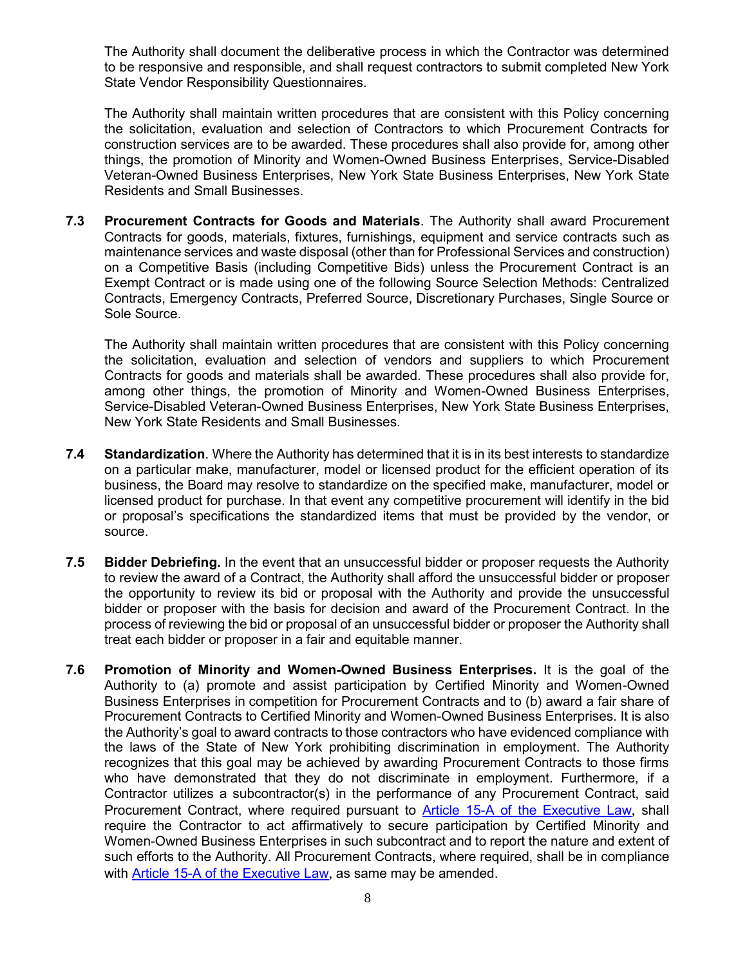The Authority shall document the deliberative process in which the Contractor was determined to be responsive and responsible, and shall request contractors to submit completed New York State Vendor Responsibility Questionnaires.

The Authority shall maintain written procedures that are consistent with this Policy concerning the solicitation, evaluation and selection of Contractors to which Procurement Contracts for construction services are to be awarded. These procedures shall also provide for, among other things, the promotion of Minority and Women-Owned Business Enterprises, Service-Disabled Veteran-Owned Business Enterprises, New York State Business Enterprises, New York State Residents and Small Businesses.

**7.3 Procurement Contracts for Goods and Materials**. The Authority shall award Procurement Contracts for goods, materials, fixtures, furnishings, equipment and service contracts such as maintenance services and waste disposal (other than for Professional Services and construction) on a Competitive Basis (including Competitive Bids) unless the Procurement Contract is an Exempt Contract or is made using one of the following Source Selection Methods: Centralized Contracts, Emergency Contracts, Preferred Source, Discretionary Purchases, Single Source or Sole Source.

The Authority shall maintain written procedures that are consistent with this Policy concerning the solicitation, evaluation and selection of vendors and suppliers to which Procurement Contracts for goods and materials shall be awarded. These procedures shall also provide for, among other things, the promotion of Minority and Women-Owned Business Enterprises, Service-Disabled Veteran-Owned Business Enterprises, New York State Business Enterprises, New York State Residents and Small Businesses.

- **7.4 Standardization**. Where the Authority has determined that it is in its best interests to standardize on a particular make, manufacturer, model or licensed product for the efficient operation of its business, the Board may resolve to standardize on the specified make, manufacturer, model or licensed product for purchase. In that event any competitive procurement will identify in the bid or proposal's specifications the standardized items that must be provided by the vendor, or source.
- **7.5 Bidder Debriefing.** In the event that an unsuccessful bidder or proposer requests the Authority to review the award of a Contract, the Authority shall afford the unsuccessful bidder or proposer the opportunity to review its bid or proposal with the Authority and provide the unsuccessful bidder or proposer with the basis for decision and award of the Procurement Contract. In the process of reviewing the bid or proposal of an unsuccessful bidder or proposer the Authority shall treat each bidder or proposer in a fair and equitable manner.
- **7.6 Promotion of Minority and Women-Owned Business Enterprises.** It is the goal of the Authority to (a) promote and assist participation by Certified Minority and Women-Owned Business Enterprises in competition for Procurement Contracts and to (b) award a fair share of Procurement Contracts to Certified Minority and Women-Owned Business Enterprises. It is also the Authority's goal to award contracts to those contractors who have evidenced compliance with the laws of the State of New York prohibiting discrimination in employment. The Authority recognizes that this goal may be achieved by awarding Procurement Contracts to those firms who have demonstrated that they do not discriminate in employment. Furthermore, if a Contractor utilizes a subcontractor(s) in the performance of any Procurement Contract, said Procurement Contract, where required pursuant to [Article 15-A of the Executive Law](file://///admin-fs/Share/Procurement%20Committee/Procurement%20Policy%20Revisions/NYS%20Guidelines%20&%20%20Regs/ARTICLE%2015%20%20WMBE%20Respect%20to%20State%20Contracts.pdf), shall require the Contractor to act affirmatively to secure participation by Certified Minority and Women-Owned Business Enterprises in such subcontract and to report the nature and extent of such efforts to the Authority. All Procurement Contracts, where required, shall be in compliance with [Article 15-A of the Executive Law](file://///admin-fs/Share/Procurement%20Committee/Procurement%20Policy%20Revisions/NYS%20Guidelines%20&%20%20Regs/ARTICLE%2015%20%20WMBE%20Respect%20to%20State%20Contracts.pdf), as same may be amended.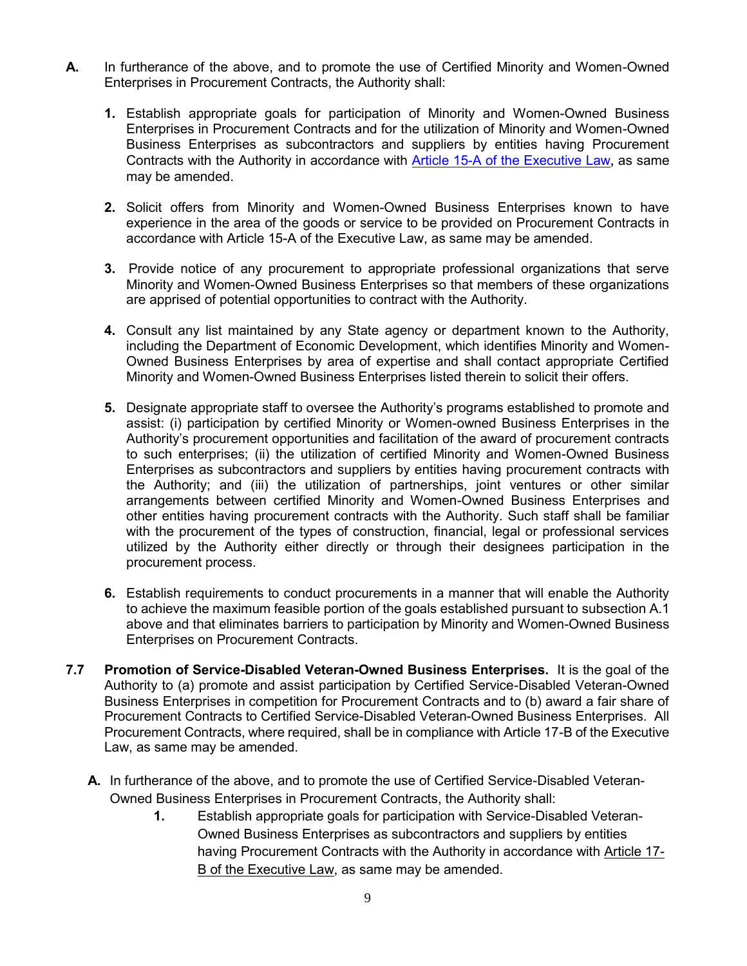- **A.** In furtherance of the above, and to promote the use of Certified Minority and Women-Owned Enterprises in Procurement Contracts, the Authority shall:
	- **1.** Establish appropriate goals for participation of Minority and Women-Owned Business Enterprises in Procurement Contracts and for the utilization of Minority and Women-Owned Business Enterprises as subcontractors and suppliers by entities having Procurement Contracts with the Authority in accordance with [Article 15-A of the Executive Law](file://///admin-fs/Share/Procurement%20Committee/Procurement%20Policy%20Revisions/NYS%20Guidelines%20&%20%20Regs/ARTICLE%2015%20%20WMBE%20Respect%20to%20State%20Contracts.pdf), as same may be amended.
	- **2.** Solicit offers from Minority and Women-Owned Business Enterprises known to have experience in the area of the goods or service to be provided on Procurement Contracts in accordance with Article 15-A of the Executive Law, as same may be amended.
	- **3.** Provide notice of any procurement to appropriate professional organizations that serve Minority and Women-Owned Business Enterprises so that members of these organizations are apprised of potential opportunities to contract with the Authority.
	- **4.** Consult any list maintained by any State agency or department known to the Authority, including the Department of Economic Development, which identifies Minority and Women-Owned Business Enterprises by area of expertise and shall contact appropriate Certified Minority and Women-Owned Business Enterprises listed therein to solicit their offers.
	- **5.** Designate appropriate staff to oversee the Authority's programs established to promote and assist: (i) participation by certified Minority or Women-owned Business Enterprises in the Authority's procurement opportunities and facilitation of the award of procurement contracts to such enterprises; (ii) the utilization of certified Minority and Women-Owned Business Enterprises as subcontractors and suppliers by entities having procurement contracts with the Authority; and (iii) the utilization of partnerships, joint ventures or other similar arrangements between certified Minority and Women-Owned Business Enterprises and other entities having procurement contracts with the Authority. Such staff shall be familiar with the procurement of the types of construction, financial, legal or professional services utilized by the Authority either directly or through their designees participation in the procurement process.
	- **6.** Establish requirements to conduct procurements in a manner that will enable the Authority to achieve the maximum feasible portion of the goals established pursuant to subsection A.1 above and that eliminates barriers to participation by Minority and Women-Owned Business Enterprises on Procurement Contracts.
- **7.7 Promotion of Service-Disabled Veteran-Owned Business Enterprises.** It is the goal of the Authority to (a) promote and assist participation by Certified Service-Disabled Veteran-Owned Business Enterprises in competition for Procurement Contracts and to (b) award a fair share of Procurement Contracts to Certified Service-Disabled Veteran-Owned Business Enterprises. All Procurement Contracts, where required, shall be in compliance with Article 17-B of the Executive Law, as same may be amended.
	- **A.** In furtherance of the above, and to promote the use of Certified Service-Disabled Veteran-Owned Business Enterprises in Procurement Contracts, the Authority shall:
		- **1.** Establish appropriate goals for participation with Service-Disabled Veteran-Owned Business Enterprises as subcontractors and suppliers by entities having Procurement Contracts with the Authority in accordance with Article 17-B of the Executive Law, as same may be amended.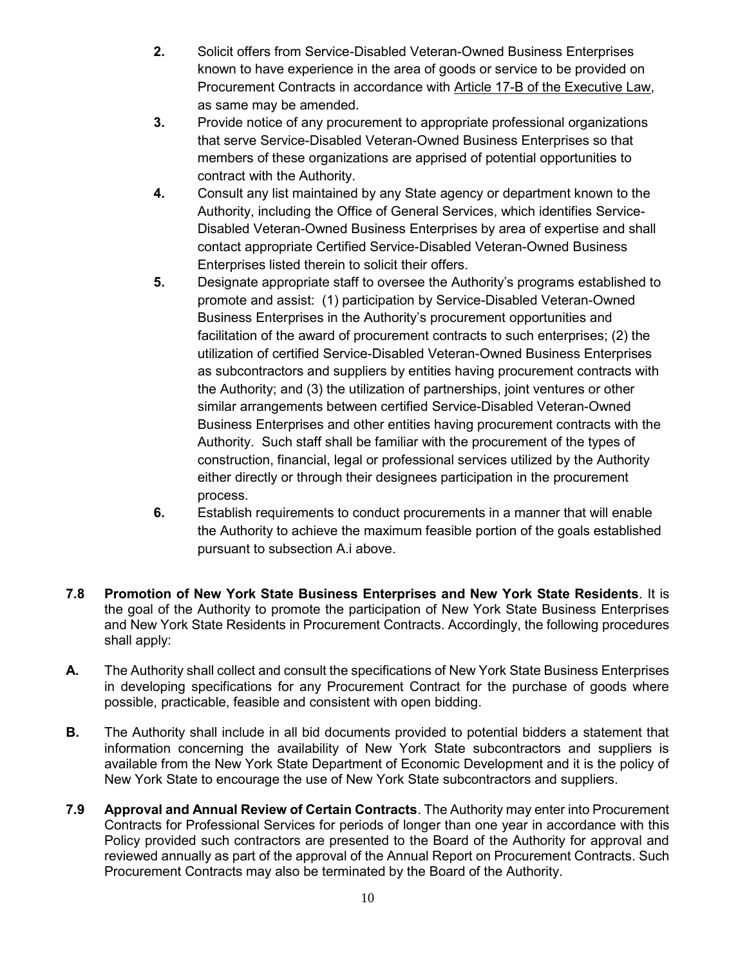- **2.** Solicit offers from Service-Disabled Veteran-Owned Business Enterprises known to have experience in the area of goods or service to be provided on Procurement Contracts in accordance with Article 17-B of the Executive Law, as same may be amended.
- **3.** Provide notice of any procurement to appropriate professional organizations that serve Service-Disabled Veteran-Owned Business Enterprises so that members of these organizations are apprised of potential opportunities to contract with the Authority.
- **4.** Consult any list maintained by any State agency or department known to the Authority, including the Office of General Services, which identifies Service-Disabled Veteran-Owned Business Enterprises by area of expertise and shall contact appropriate Certified Service-Disabled Veteran-Owned Business Enterprises listed therein to solicit their offers.
- **5.** Designate appropriate staff to oversee the Authority's programs established to promote and assist: (1) participation by Service-Disabled Veteran-Owned Business Enterprises in the Authority's procurement opportunities and facilitation of the award of procurement contracts to such enterprises; (2) the utilization of certified Service-Disabled Veteran-Owned Business Enterprises as subcontractors and suppliers by entities having procurement contracts with the Authority; and (3) the utilization of partnerships, joint ventures or other similar arrangements between certified Service-Disabled Veteran-Owned Business Enterprises and other entities having procurement contracts with the Authority. Such staff shall be familiar with the procurement of the types of construction, financial, legal or professional services utilized by the Authority either directly or through their designees participation in the procurement process.
- **6.** Establish requirements to conduct procurements in a manner that will enable the Authority to achieve the maximum feasible portion of the goals established pursuant to subsection A.i above.
- **7.8 Promotion of New York State Business Enterprises and New York State Residents**. It is the goal of the Authority to promote the participation of New York State Business Enterprises and New York State Residents in Procurement Contracts. Accordingly, the following procedures shall apply:
- **A.** The Authority shall collect and consult the specifications of New York State Business Enterprises in developing specifications for any Procurement Contract for the purchase of goods where possible, practicable, feasible and consistent with open bidding.
- **B.** The Authority shall include in all bid documents provided to potential bidders a statement that information concerning the availability of New York State subcontractors and suppliers is available from the New York State Department of Economic Development and it is the policy of New York State to encourage the use of New York State subcontractors and suppliers.
- **7.9 Approval and Annual Review of Certain Contracts**. The Authority may enter into Procurement Contracts for Professional Services for periods of longer than one year in accordance with this Policy provided such contractors are presented to the Board of the Authority for approval and reviewed annually as part of the approval of the Annual Report on Procurement Contracts. Such Procurement Contracts may also be terminated by the Board of the Authority.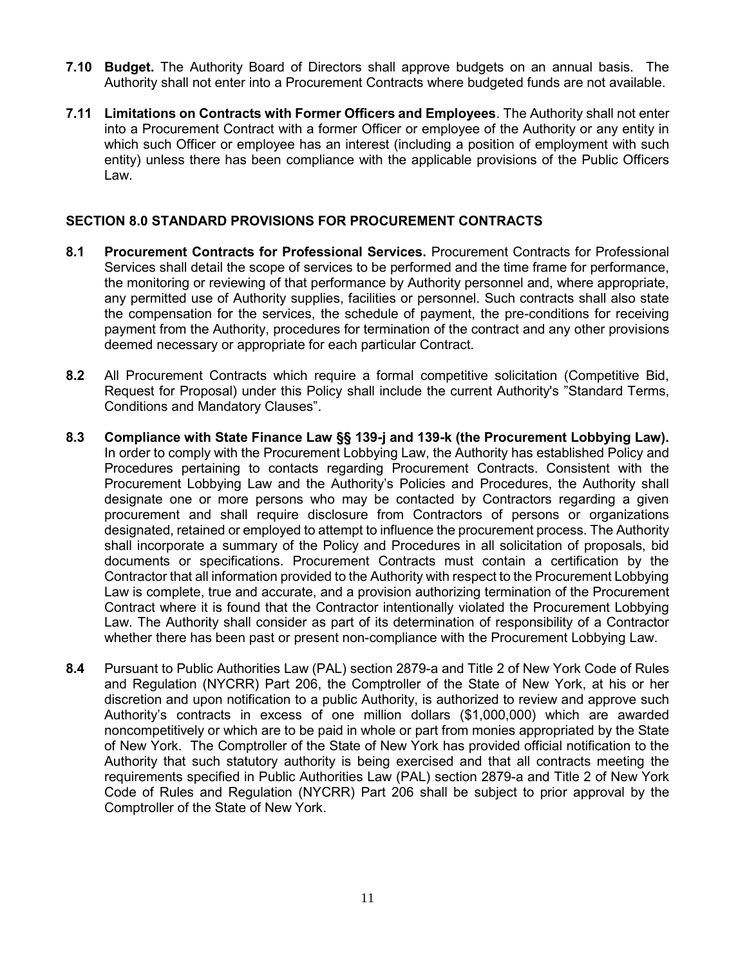- **7.10 Budget.** The Authority Board of Directors shall approve budgets on an annual basis. The Authority shall not enter into a Procurement Contracts where budgeted funds are not available.
- **7.11 Limitations on Contracts with Former Officers and Employees**. The Authority shall not enter into a Procurement Contract with a former Officer or employee of the Authority or any entity in which such Officer or employee has an interest (including a position of employment with such entity) unless there has been compliance with the applicable provisions of the Public Officers Law.

#### <span id="page-10-0"></span>**SECTION 8.0 STANDARD PROVISIONS FOR PROCUREMENT CONTRACTS**

- **8.1 Procurement Contracts for Professional Services.** Procurement Contracts for Professional Services shall detail the scope of services to be performed and the time frame for performance, the monitoring or reviewing of that performance by Authority personnel and, where appropriate, any permitted use of Authority supplies, facilities or personnel. Such contracts shall also state the compensation for the services, the schedule of payment, the pre-conditions for receiving payment from the Authority, procedures for termination of the contract and any other provisions deemed necessary or appropriate for each particular Contract.
- **8.2** All Procurement Contracts which require a formal competitive solicitation (Competitive Bid, Request for Proposal) under this Policy shall include the current Authority's "Standard Terms, Conditions and Mandatory Clauses".
- **8.3 Compliance with State Finance Law §§ 139-j and 139-k (the Procurement Lobbying Law).** In order to comply with the Procurement Lobbying Law, the Authority has established Policy and Procedures pertaining to contacts regarding Procurement Contracts. Consistent with the Procurement Lobbying Law and the Authority's Policies and Procedures, the Authority shall designate one or more persons who may be contacted by Contractors regarding a given procurement and shall require disclosure from Contractors of persons or organizations designated, retained or employed to attempt to influence the procurement process. The Authority shall incorporate a summary of the Policy and Procedures in all solicitation of proposals, bid documents or specifications. Procurement Contracts must contain a certification by the Contractor that all information provided to the Authority with respect to the Procurement Lobbying Law is complete, true and accurate, and a provision authorizing termination of the Procurement Contract where it is found that the Contractor intentionally violated the Procurement Lobbying Law. The Authority shall consider as part of its determination of responsibility of a Contractor whether there has been past or present non-compliance with the Procurement Lobbying Law.
- **8.4** Pursuant to Public Authorities Law (PAL) section 2879-a and Title 2 of New York Code of Rules and Regulation (NYCRR) Part 206, the Comptroller of the State of New York, at his or her discretion and upon notification to a public Authority, is authorized to review and approve such Authority's contracts in excess of one million dollars (\$1,000,000) which are awarded noncompetitively or which are to be paid in whole or part from monies appropriated by the State of New York. The Comptroller of the State of New York has provided official notification to the Authority that such statutory authority is being exercised and that all contracts meeting the requirements specified in Public Authorities Law (PAL) section 2879-a and Title 2 of New York Code of Rules and Regulation (NYCRR) Part 206 shall be subject to prior approval by the Comptroller of the State of New York.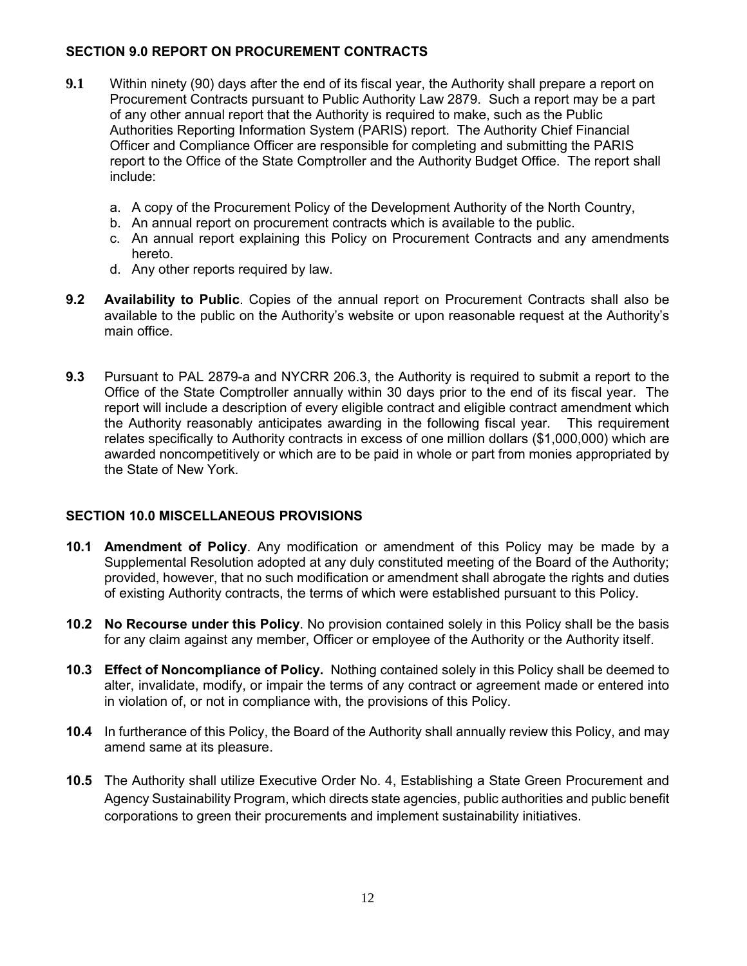#### <span id="page-11-0"></span>**SECTION 9.0 REPORT ON PROCUREMENT CONTRACTS**

- **9.1** Within ninety (90) days after the end of its fiscal year, the Authority shall prepare a report on Procurement Contracts pursuant to Public Authority Law 2879. Such a report may be a part of any other annual report that the Authority is required to make, such as the Public Authorities Reporting Information System (PARIS) report. The Authority Chief Financial Officer and Compliance Officer are responsible for completing and submitting the PARIS report to the Office of the State Comptroller and the Authority Budget Office. The report shall include:
	- a. A copy of the Procurement Policy of the Development Authority of the North Country,
	- b. An annual report on procurement contracts which is available to the public.
	- c. An annual report explaining this Policy on Procurement Contracts and any amendments hereto.
	- d. Any other reports required by law.
- **9.2 Availability to Public**. Copies of the annual report on Procurement Contracts shall also be available to the public on the Authority's website or upon reasonable request at the Authority's main office.
- **9.3** Pursuant to PAL 2879-a and NYCRR 206.3, the Authority is required to submit a report to the Office of the State Comptroller annually within 30 days prior to the end of its fiscal year. The report will include a description of every eligible contract and eligible contract amendment which the Authority reasonably anticipates awarding in the following fiscal year. This requirement relates specifically to Authority contracts in excess of one million dollars (\$1,000,000) which are awarded noncompetitively or which are to be paid in whole or part from monies appropriated by the State of New York.

#### <span id="page-11-1"></span>**SECTION 10.0 MISCELLANEOUS PROVISIONS**

- **10.1 Amendment of Policy**. Any modification or amendment of this Policy may be made by a Supplemental Resolution adopted at any duly constituted meeting of the Board of the Authority; provided, however, that no such modification or amendment shall abrogate the rights and duties of existing Authority contracts, the terms of which were established pursuant to this Policy.
- **10.2 No Recourse under this Policy**. No provision contained solely in this Policy shall be the basis for any claim against any member, Officer or employee of the Authority or the Authority itself.
- **10.3 Effect of Noncompliance of Policy.** Nothing contained solely in this Policy shall be deemed to alter, invalidate, modify, or impair the terms of any contract or agreement made or entered into in violation of, or not in compliance with, the provisions of this Policy.
- **10.4** In furtherance of this Policy, the Board of the Authority shall annually review this Policy, and may amend same at its pleasure.
- **10.5** The Authority shall utilize Executive Order No. 4, Establishing a State Green Procurement and Agency Sustainability Program, which directs state agencies, public authorities and public benefit corporations to green their procurements and implement sustainability initiatives.